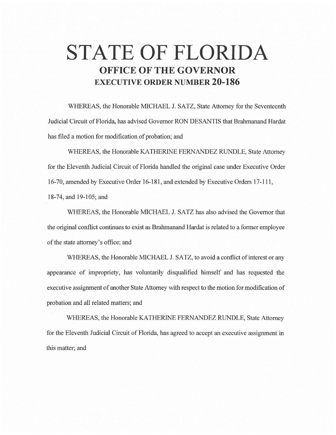## **STATE OF FLORIDA OFFICE OF THE GOVERNOR EXECUTIVE ORDER NUMBER 20-186**

WHEREAS, the Honorable MICHAEL J. SATZ, State Attorney for the Seventeenth Judicial Circuit of Florida, has advised Governor RON DESANTIS that Brahmanand Hardat has filed a motion for modification of probation; and

WHEREAS, the Honorable KATHERINE FERNANDEZ RUNDLE, State Attorney for the Eleventh Judicial Circuit of Florida handled the original case under Executive Order 16-70, amended by Executive Order 16-181, and extended by Executive Orders 17-111, 18-74, and 19-105; and

WHEREAS, the Honorable MICHAEL J. SATZ has also advised the Governor that the original conflict continues to exist as Brahmanand Hardat is related to a former employee of the state attorney's office; and

WHEREAS, the Honorable MICHAEL J. SATZ, to avoid a conflict of interest or any appearance of impropriety, has voluntarily disqualified himself and has requested the executive assignment of another State Attorney with respect to the motion for modification of probation and all related matters; and

WHEREAS, the Honorable KA THERINE FERNANDEZ RUNDLE, State Attorney for the Eleventh Judicial Circuit of Florida, has agreed to accept an executive assignment in this matter; and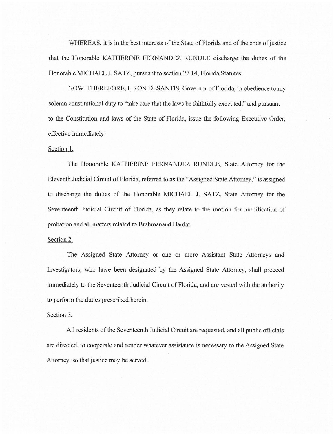WHEREAS, it is in the best interests of the State of Florida and of the ends of justice that the Honorable KA THERINE FERNANDEZ RUNDLE discharge the duties of the Honorable MICHAEL J. SATZ, pursuant to section 27.14, Florida Statutes.

NOW, THEREFORE, I, RON DESANTIS, Governor of Florida, in obedience to my solemn constitutional duty to "take care that the laws be faithfully executed," and pursuant to the Constitution and laws of the State of Florida, issue the following Executive Order, effective immediately:

## Section 1.

The Honorable KA THERINE FERNANDEZ RUNDLE, State Attorney for the Eleventh Judicial Circuit of Florida, referred to as the "Assigned State Attorney," is assigned to discharge the duties of the Honorable MICHAEL J. SATZ, State Attorney for the Seventeenth Judicial Circuit of Florida, as they relate to the motion for modification of probation and all matters related to Brahmanand Hardat.

## Section 2.

The Assigned State Attorney or one or more Assistant State Attorneys and Investigators, who have been designated by the Assigned State Attorney, shall proceed immediately to the Seventeenth Judicial Circuit of Florida, and are vested with the authority to perform the duties prescribed herein.

## Section 3.

All residents of the Seventeenth Judicial Circuit are requested, and all public officials are directed, to cooperate and render whatever assistance is necessary to the Assigned State Attorney, so that justice may be served.